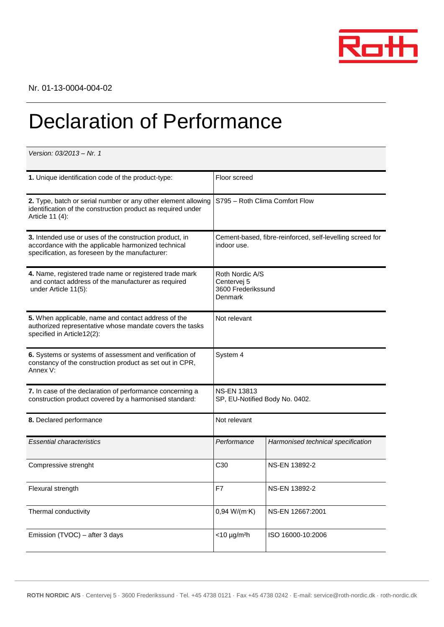

## Declaration of Performance

| Version: 03/2013 - Nr. 1                                                                                                                                          |                                                                          |                                    |  |  |
|-------------------------------------------------------------------------------------------------------------------------------------------------------------------|--------------------------------------------------------------------------|------------------------------------|--|--|
| 1. Unique identification code of the product-type:                                                                                                                | Floor screed                                                             |                                    |  |  |
| 2. Type, batch or serial number or any other element allowing<br>identification of the construction product as required under<br>Article 11 (4):                  | S795 - Roth Clima Comfort Flow                                           |                                    |  |  |
| 3. Intended use or uses of the construction product, in<br>accordance with the applicable harmonized technical<br>specification, as foreseen by the manufacturer: | Cement-based, fibre-reinforced, self-levelling screed for<br>indoor use. |                                    |  |  |
| 4. Name, registered trade name or registered trade mark<br>and contact address of the manufacturer as required<br>under Article 11(5):                            | Roth Nordic A/S<br>Centervej 5<br>3600 Frederikssund<br>Denmark          |                                    |  |  |
| 5. When applicable, name and contact address of the<br>authorized representative whose mandate covers the tasks<br>specified in Article12(2):                     | Not relevant                                                             |                                    |  |  |
| 6. Systems or systems of assessment and verification of<br>constancy of the construction product as set out in CPR,<br>Annex V:                                   | System 4                                                                 |                                    |  |  |
| 7. In case of the declaration of performance concerning a<br>construction product covered by a harmonised standard:                                               | <b>NS-EN 13813</b><br>SP, EU-Notified Body No. 0402.                     |                                    |  |  |
| 8. Declared performance                                                                                                                                           | Not relevant                                                             |                                    |  |  |
| <b>Essential characteristics</b>                                                                                                                                  | Performance                                                              | Harmonised technical specification |  |  |
| Compressive strenght                                                                                                                                              | C <sub>30</sub>                                                          | <b>NS-EN 13892-2</b>               |  |  |
| Flexural strength                                                                                                                                                 | F7                                                                       | NS-EN 13892-2                      |  |  |
| Thermal conductivity                                                                                                                                              | 0,94 W/(m·K)                                                             | NS-EN 12667:2001                   |  |  |
| Emission (TVOC) - after 3 days                                                                                                                                    | $<$ 10 µg/m <sup>2</sup> h                                               | ISO 16000-10:2006                  |  |  |